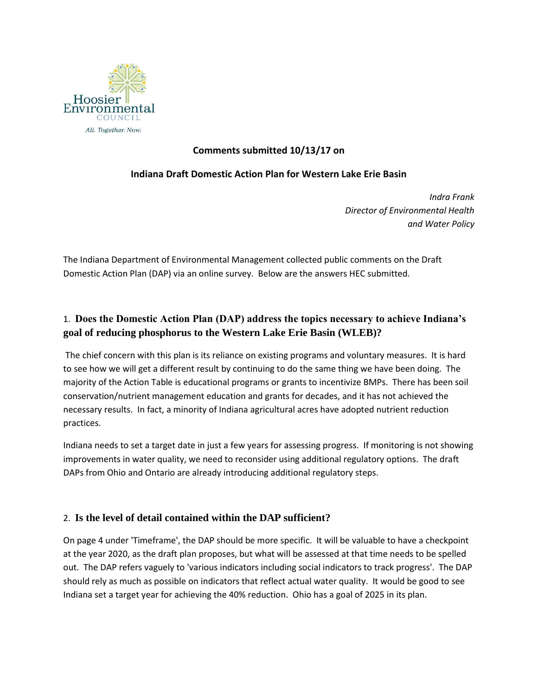

### **Comments submitted 10/13/17 on**

### **Indiana Draft Domestic Action Plan for Western Lake Erie Basin**

*Indra Frank Director of Environmental Health and Water Policy*

The Indiana Department of Environmental Management collected public comments on the Draft Domestic Action Plan (DAP) via an online survey. Below are the answers HEC submitted.

## 1. **Does the Domestic Action Plan (DAP) address the topics necessary to achieve Indiana's goal of reducing phosphorus to the Western Lake Erie Basin (WLEB)?**

The chief concern with this plan is its reliance on existing programs and voluntary measures. It is hard to see how we will get a different result by continuing to do the same thing we have been doing. The majority of the Action Table is educational programs or grants to incentivize BMPs. There has been soil conservation/nutrient management education and grants for decades, and it has not achieved the necessary results. In fact, a minority of Indiana agricultural acres have adopted nutrient reduction practices.

Indiana needs to set a target date in just a few years for assessing progress. If monitoring is not showing improvements in water quality, we need to reconsider using additional regulatory options. The draft DAPs from Ohio and Ontario are already introducing additional regulatory steps.

#### 2. **Is the level of detail contained within the DAP sufficient?**

On page 4 under 'Timeframe', the DAP should be more specific. It will be valuable to have a checkpoint at the year 2020, as the draft plan proposes, but what will be assessed at that time needs to be spelled out. The DAP refers vaguely to 'various indicators including social indicators to track progress'. The DAP should rely as much as possible on indicators that reflect actual water quality. It would be good to see Indiana set a target year for achieving the 40% reduction. Ohio has a goal of 2025 in its plan.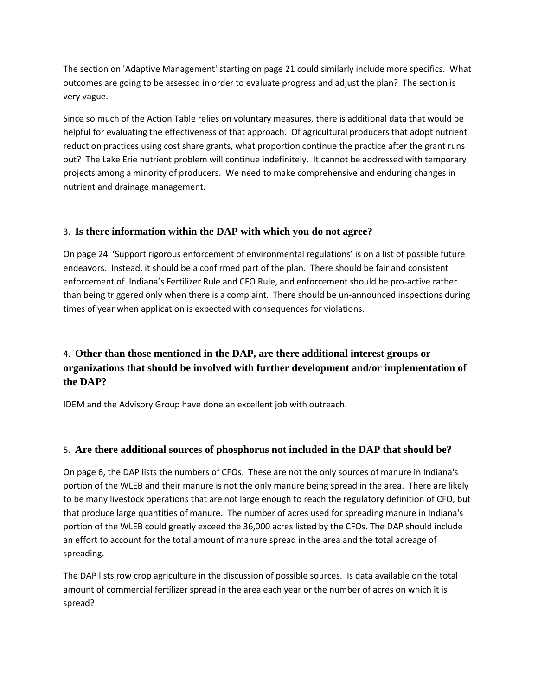The section on 'Adaptive Management' starting on page 21 could similarly include more specifics. What outcomes are going to be assessed in order to evaluate progress and adjust the plan? The section is very vague.

Since so much of the Action Table relies on voluntary measures, there is additional data that would be helpful for evaluating the effectiveness of that approach. Of agricultural producers that adopt nutrient reduction practices using cost share grants, what proportion continue the practice after the grant runs out? The Lake Erie nutrient problem will continue indefinitely. It cannot be addressed with temporary projects among a minority of producers. We need to make comprehensive and enduring changes in nutrient and drainage management.

## 3. **Is there information within the DAP with which you do not agree?**

On page 24 'Support rigorous enforcement of environmental regulations' is on a list of possible future endeavors. Instead, it should be a confirmed part of the plan. There should be fair and consistent enforcement of Indiana's Fertilizer Rule and CFO Rule, and enforcement should be pro-active rather than being triggered only when there is a complaint. There should be un-announced inspections during times of year when application is expected with consequences for violations.

# 4. **Other than those mentioned in the DAP, are there additional interest groups or organizations that should be involved with further development and/or implementation of the DAP?**

IDEM and the Advisory Group have done an excellent job with outreach.

## 5. **Are there additional sources of phosphorus not included in the DAP that should be?**

On page 6, the DAP lists the numbers of CFOs. These are not the only sources of manure in Indiana's portion of the WLEB and their manure is not the only manure being spread in the area. There are likely to be many livestock operations that are not large enough to reach the regulatory definition of CFO, but that produce large quantities of manure. The number of acres used for spreading manure in Indiana's portion of the WLEB could greatly exceed the 36,000 acres listed by the CFOs. The DAP should include an effort to account for the total amount of manure spread in the area and the total acreage of spreading.

The DAP lists row crop agriculture in the discussion of possible sources. Is data available on the total amount of commercial fertilizer spread in the area each year or the number of acres on which it is spread?